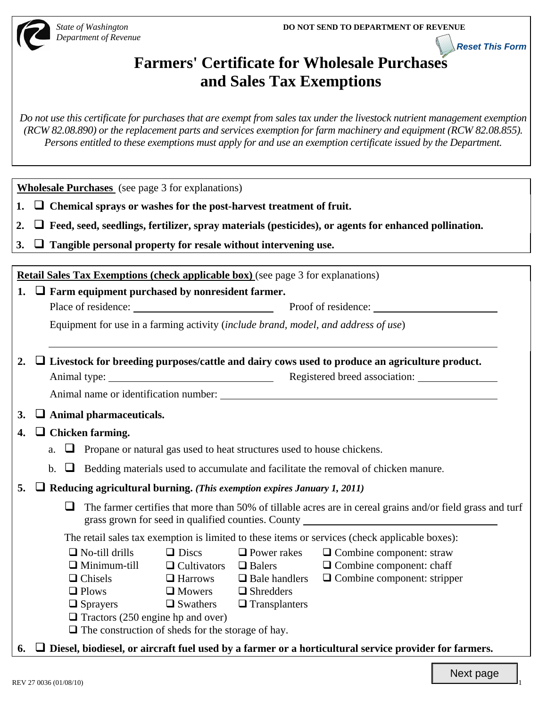**Reset This Form**



*Department of Revenue*

# **Farmers' Certificate for Wholesale Purchases and Sales Tax Exemptions**

*Do not use this certificate for purchases that are exempt from sales tax under the livestock nutrient management exemption (RCW 82.08.890) or the replacement parts and services exemption for farm machinery and equipment (RCW 82.08.855). Persons entitled to these exemptions must apply for and use an exemption certificate issued by the Department.*

**Wholesale Purchases** (see page 3 for explanations)

- **1. Chemical sprays or washes for the post-harvest treatment of fruit.**
- **2. Feed, seed, seedlings, fertilizer, spray materials (pesticides), or agents for enhanced pollination.**
- **3. Tangible personal property for resale without intervening use.**

**Retail Sales Tax Exemptions (check applicable box)** (see page 3 for explanations)

**1. Farm equipment purchased by nonresident farmer.** 

Place of residence: Proof of residence:

Equipment for use in a farming activity (*include brand, model, and address of use*)

**2. Livestock for breeding purposes/cattle and dairy cows used to produce an agriculture product.**  Animal type: Registered breed association:

Animal name or identification number:

# **3. Animal pharmaceuticals.**

# **4. Chicken farming.**

- a.  $\Box$  Propane or natural gas used to heat structures used to house chickens.
- b.  $\Box$  Bedding materials used to accumulate and facilitate the removal of chicken manure.

#### **5. Reducing agricultural burning.** *(This exemption expires January 1, 2011)*

 $\Box$  The farmer certifies that more than 50% of tillable acres are in cereal grains and/or field grass and turf grass grown for seed in qualified counties. County

The retail sales tax exemption is limited to these items or services (check applicable boxes):

- $\Box$  No-till drills  $\Box$  Discs  $\Box$  Power rakes  $\Box$  Combine component: straw
- $\Box$  Minimum-till  $\Box$  Cultivators  $\Box$  Balers  $\Box$  Combine component: chaff
- $\Box$  Chisels  $\Box$  Harrows  $\Box$  Bale handlers  $\Box$  Combine component: stripper
- $\Box$  Plows  $\Box$  Mowers  $\Box$  Shredders
- $\square$  Sprayers  $\square$  Swathers  $\square$  Transplanters
- $\Box$  Tractors (250 engine hp and over)

 $\Box$  The construction of sheds for the storage of hay.

**6. Diesel, biodiesel, or aircraft fuel used by a farmer or a horticultural service provider for farmers.**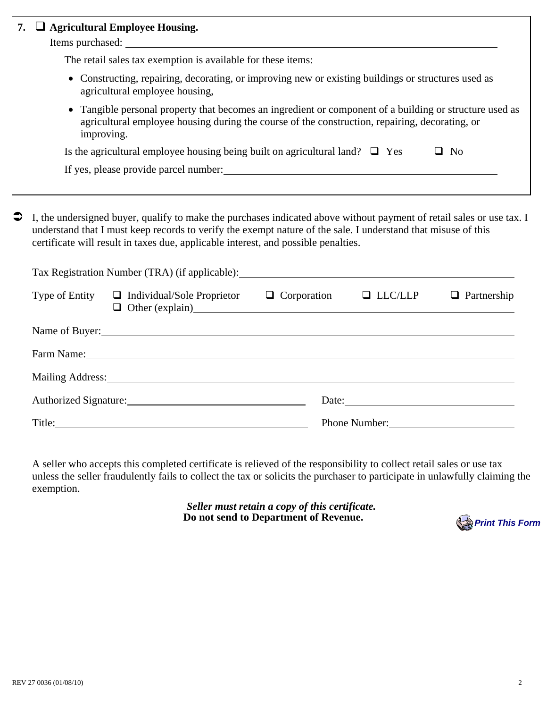| 7. | □ Agricultural Employee Housing.                                                                                                                                                                                                                                                                                             |
|----|------------------------------------------------------------------------------------------------------------------------------------------------------------------------------------------------------------------------------------------------------------------------------------------------------------------------------|
|    | The retail sales tax exemption is available for these items:                                                                                                                                                                                                                                                                 |
|    | • Constructing, repairing, decorating, or improving new or existing buildings or structures used as<br>agricultural employee housing,                                                                                                                                                                                        |
|    | Tangible personal property that becomes an ingredient or component of a building or structure used as<br>agricultural employee housing during the course of the construction, repairing, decorating, or<br>improving.                                                                                                        |
|    | Is the agricultural employee housing being built on agricultural land? $\Box$ Yes<br>$\Box$ No                                                                                                                                                                                                                               |
|    |                                                                                                                                                                                                                                                                                                                              |
| €  | I, the undersigned buyer, qualify to make the purchases indicated above without payment of retail sales or use tax. I<br>understand that I must keep records to verify the exempt nature of the sale. I understand that misuse of this<br>certificate will result in taxes due, applicable interest, and possible penalties. |
|    |                                                                                                                                                                                                                                                                                                                              |
|    | Type of Entity $\Box$ Individual/Sole Proprietor $\Box$ Corporation $\Box$ LLC/LLP<br>$\Box$ Partnership<br>$\Box$ Other (explain) $\Box$                                                                                                                                                                                    |
|    | Name of Buyer:                                                                                                                                                                                                                                                                                                               |
|    | Farm Name: Name and Solution of the Contract of the Contract of the Contract of the Contract of the Contract of the Contract of the Contract of the Contract of the Contract of the Contract of the Contract of the Contract o                                                                                               |
|    | Mailing Address: 1988 and 2008 and 2008 and 2008 and 2008 and 2008 and 2008 and 2008 and 2008 and 2008 and 200                                                                                                                                                                                                               |
|    | Date: 2008. [19] Date:                                                                                                                                                                                                                                                                                                       |
|    | Title: 2008. Title: 2008. Title: 2008. Title: 2008. Title: 2008. Title: 2008. Title: 2008. Title: 2008. Title:<br>Phone Number:                                                                                                                                                                                              |
|    | A seller who accepts this completed certificate is relieved of the responsibility to collect retail sales or use tax<br>unless the seller fraudulently fails to collect the tax or solicits the purchaser to participate in unlawfully claiming the<br>exemption.                                                            |
|    | Seller must retain a copy of this certificate.<br>Do not send to Department of Revenue.<br><b>Print This Form</b>                                                                                                                                                                                                            |
|    |                                                                                                                                                                                                                                                                                                                              |
|    |                                                                                                                                                                                                                                                                                                                              |